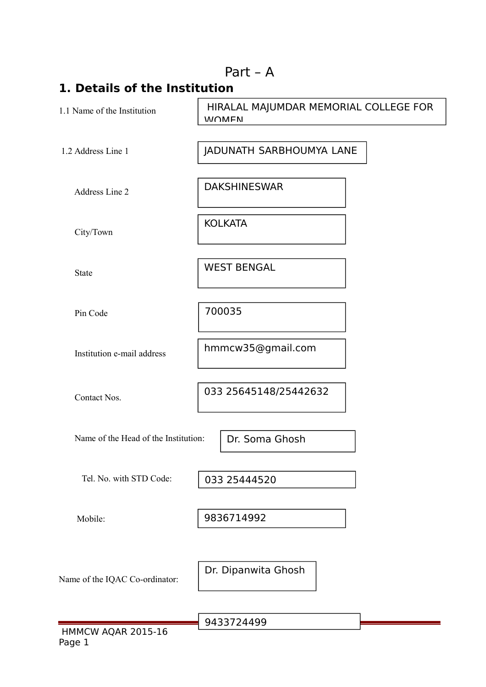|                                      | Part $-$ A                                            |  |
|--------------------------------------|-------------------------------------------------------|--|
| 1. Details of the Institution        |                                                       |  |
| 1.1 Name of the Institution          | HIRALAL MAJUMDAR MEMORIAL COLLEGE FOR<br><b>WOMEN</b> |  |
| 1.2 Address Line 1                   | JADUNATH SARBHOUMYA LANE                              |  |
| Address Line 2                       | <b>DAKSHINESWAR</b>                                   |  |
| City/Town                            | <b>KOLKATA</b>                                        |  |
| <b>State</b>                         | <b>WEST BENGAL</b>                                    |  |
| Pin Code                             | 700035                                                |  |
| Institution e-mail address           | hmmcw35@gmail.com                                     |  |
| Contact Nos.                         | 033 25645148/25442632                                 |  |
| Name of the Head of the Institution: | Dr. Soma Ghosh                                        |  |
| Tel. No. with STD Code:              | 033 25444520                                          |  |
| Mobile:                              | 9836714992                                            |  |
| Name of the IQAC Co-ordinator:       | Dr. Dipanwita Ghosh                                   |  |
|                                      | 9433724499                                            |  |

HMMCW AQAR 2015-16 Page 1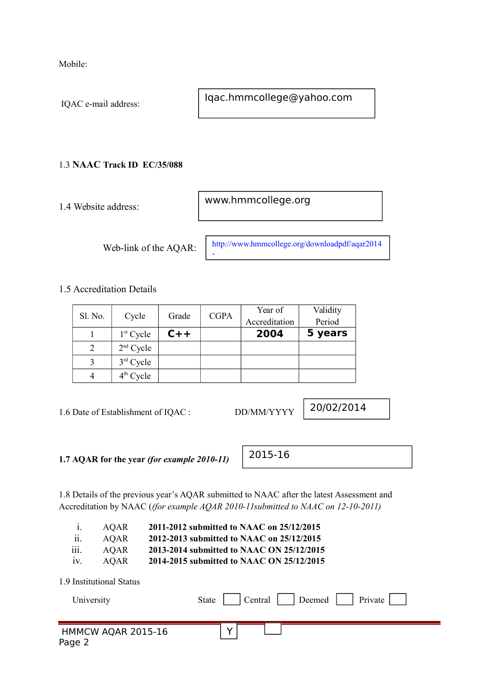Mobile:

IQAC e-mail address:

Iqac.hmmcollege@yahoo.com

### 1.3 **NAAC Track ID EC/35/088**

1.4 Website address:

www.hmmcollege.org

Web-link of the AQAR:

http://www.hmmcollege.org/downloadpdf/aqar2014 -

1.5 Accreditation Details

|         |             |       |             | Year of       | Validity |
|---------|-------------|-------|-------------|---------------|----------|
| Sl. No. | Cycle       | Grade | <b>CGPA</b> | Accreditation | Period   |
|         | $1st$ Cycle | $C++$ |             | 2004          | 5 years  |
|         | $2nd$ Cycle |       |             |               |          |
|         | $3rd$ Cycle |       |             |               |          |
|         | $4th$ Cycle |       |             |               |          |

1.6 Date of Establishment of IQAC : DD/MM/YYYY

20/02/2014

**1.7 AQAR for the year** *(for example 2010-11)*

1.8 Details of the previous year's AQAR submitted to NAAC after the latest Assessment and Accreditation by NAAC (*(for example AQAR 2010-11submitted to NAAC on 12-10-2011)*

| 1.<br>ii.<br>$\cdots$<br>111.<br>1V. | <b>AQAR</b><br><b>AQAR</b><br><b>AQAR</b><br><b>AQAR</b> | 2011-2012 submitted to NAAC on 25/12/2015<br>2012-2013 submitted to NAAC on 25/12/2015<br>2013-2014 submitted to NAAC ON 25/12/2015<br>2014-2015 submitted to NAAC ON 25/12/2015 |
|--------------------------------------|----------------------------------------------------------|----------------------------------------------------------------------------------------------------------------------------------------------------------------------------------|
|                                      | 1.9 Institutional Status<br>University                   | Private<br>Central<br>Deemed<br><b>State</b>                                                                                                                                     |
| Page 2                               | HMMCW AQAR 2015-16                                       |                                                                                                                                                                                  |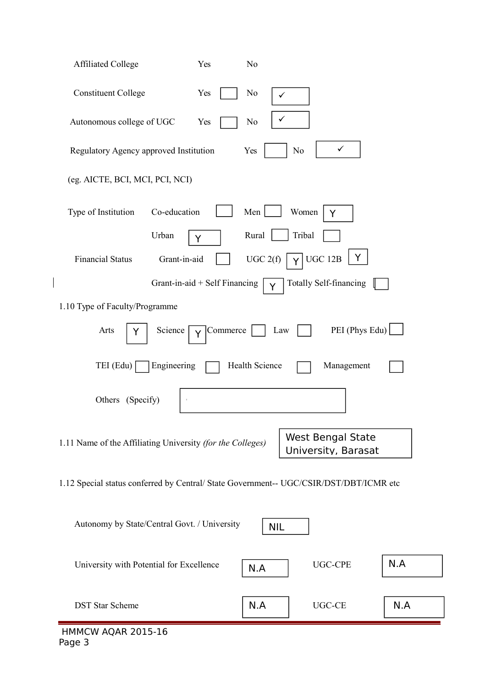| <b>Affiliated College</b><br>Yes                                                       | N <sub>0</sub>      |                                                 |     |
|----------------------------------------------------------------------------------------|---------------------|-------------------------------------------------|-----|
| <b>Constituent College</b><br>Yes                                                      | N <sub>0</sub><br>✓ |                                                 |     |
| Autonomous college of UGC<br>Yes                                                       | $\rm No$            |                                                 |     |
| Regulatory Agency approved Institution                                                 | Yes                 | $\checkmark$<br>N <sub>0</sub>                  |     |
| (eg. AICTE, BCI, MCI, PCI, NCI)                                                        |                     |                                                 |     |
| Co-education<br>Type of Institution                                                    | Men                 | Women<br>Y                                      |     |
| Urban<br>Y                                                                             | Rural               | Tribal                                          |     |
| <b>Financial Status</b><br>Grant-in-aid                                                | UGC 2(f)            | Y<br>UGC 12B                                    |     |
| Grant-in-aid + Self Financing                                                          | Y                   | <b>Totally Self-financing</b>                   |     |
| 1.10 Type of Faculty/Programme                                                         |                     |                                                 |     |
| Arts<br>Science<br>Y<br>Ý                                                              | Commerce<br>Law     | PEI (Phys Edu)                                  |     |
| Engineering<br>TEI (Edu)                                                               | Health Science      | Management                                      |     |
| Others (Specify)                                                                       |                     |                                                 |     |
| 1.11 Name of the Affiliating University (for the Colleges)                             |                     | <b>West Bengal State</b><br>University, Barasat |     |
| 1.12 Special status conferred by Central/ State Government-- UGC/CSIR/DST/DBT/ICMR etc |                     |                                                 |     |
| Autonomy by State/Central Govt. / University                                           | <b>NIL</b>          |                                                 |     |
| University with Potential for Excellence                                               | N.A                 | <b>UGC-CPE</b>                                  | N.A |
| <b>DST Star Scheme</b>                                                                 | N.A                 | $UGC-CE$                                        | N.A |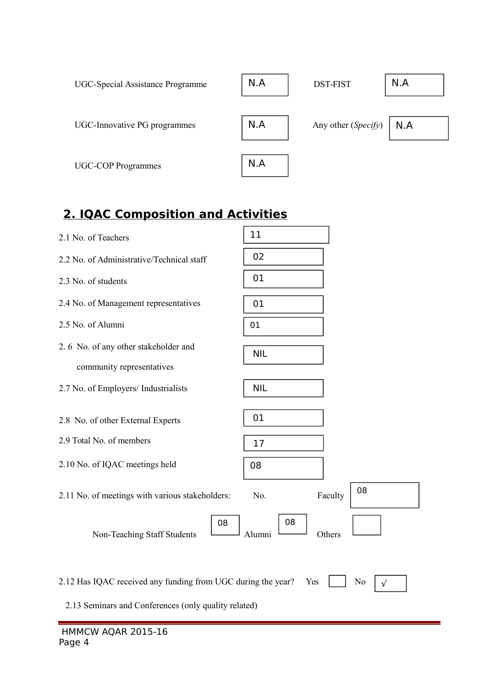| <b>UGC-Special Assistance Programme</b> | N.A | <b>DST-FIST</b>     | N.A |
|-----------------------------------------|-----|---------------------|-----|
| UGC-Innovative PG programmes            | N.A | Any other (Specify) | N.A |
| <b>UGC-COP Programmes</b>               | N.A |                     |     |

# **2. IQAC Composition and Activities**

| 2.1 No. of Teachers                                                                                                  | 11                      |
|----------------------------------------------------------------------------------------------------------------------|-------------------------|
| 2.2 No. of Administrative/Technical staff                                                                            | 02                      |
| 2.3 No. of students                                                                                                  | 01                      |
| 2.4 No. of Management representatives                                                                                | 01                      |
| 2.5 No. of Alumni                                                                                                    | 01                      |
| 2.6 No. of any other stakeholder and                                                                                 | <b>NIL</b>              |
| community representatives                                                                                            |                         |
| 2.7 No. of Employers/ Industrialists                                                                                 | <b>NIL</b>              |
| 2.8 No. of other External Experts                                                                                    | 01                      |
| 2.9 Total No. of members                                                                                             | 17                      |
| 2.10 No. of IQAC meetings held                                                                                       | 08                      |
| 2.11 No. of meetings with various stakeholders:                                                                      | 08<br>Faculty<br>No.    |
| 08<br>Non-Teaching Staff Students                                                                                    | 08<br>Alumni<br>Others  |
| 2.12 Has IQAC received any funding from UGC during the year?<br>2.13 Seminars and Conferences (only quality related) | No<br>Yes<br>$\sqrt{ }$ |
|                                                                                                                      |                         |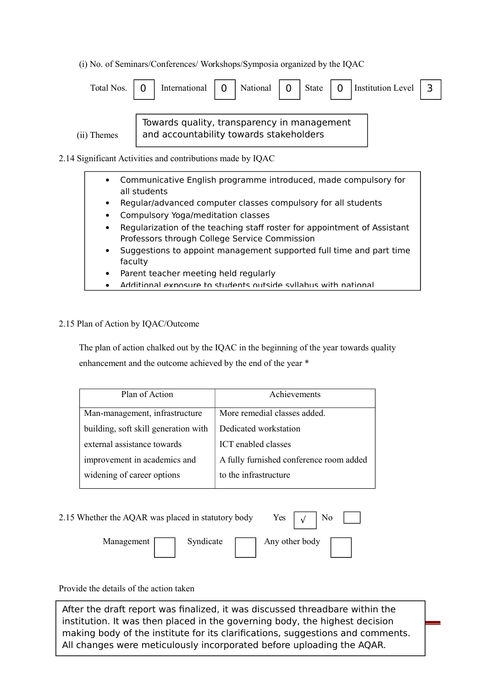(i) No. of Seminars/Conferences/ Workshops/Symposia organized by the IQAC

| Total Nos.  | International                                                                          | National | State | $\overline{0}$ | Institution Level |  |
|-------------|----------------------------------------------------------------------------------------|----------|-------|----------------|-------------------|--|
| (ii) Themes | Towards quality, transparency in management<br>and accountability towards stakeholders |          |       |                |                   |  |

2.14 Significant Activities and contributions made by IQAC

- Communicative English programme introduced, made compulsory for all students
- Regular/advanced computer classes compulsory for all students
- Compulsory Yoga/meditation classes
- Regularization of the teaching staff roster for appointment of Assistant Professors through College Service Commission
- Suggestions to appoint management supported full time and part time faculty
- Parent teacher meeting held regularly
- Additional exposure to students outside syllabus with national

#### 2.15 Plan of Action by IQAC/Outcome

 The plan of action chalked out by the IQAC in the beginning of the year towards quality enhancement and the outcome achieved by the end of the year \*

| Plan of Action                       | Achievements                            |
|--------------------------------------|-----------------------------------------|
| Man-management, infrastructure       | More remedial classes added.            |
| building, soft skill generation with | Dedicated workstation                   |
| external assistance towards          | ICT enabled classes                     |
| improvement in academics and         | A fully furnished conference room added |
| widening of career options           | to the infrastructure                   |

| 2.15 Whether the AQAR was placed in statutory body |           | Yes $\vert \sqrt{ } \vert$ | No |
|----------------------------------------------------|-----------|----------------------------|----|
| Management                                         | Syndicate | Any other body             |    |

Provide the details of the action taken

making body of the institute for its clarifications, suggestions and comments. All changes were meticulously incorporated before uploading the AQAR. After the draft report was finalized, it was discussed threadbare within the institution. It was then placed in the governing body, the highest decision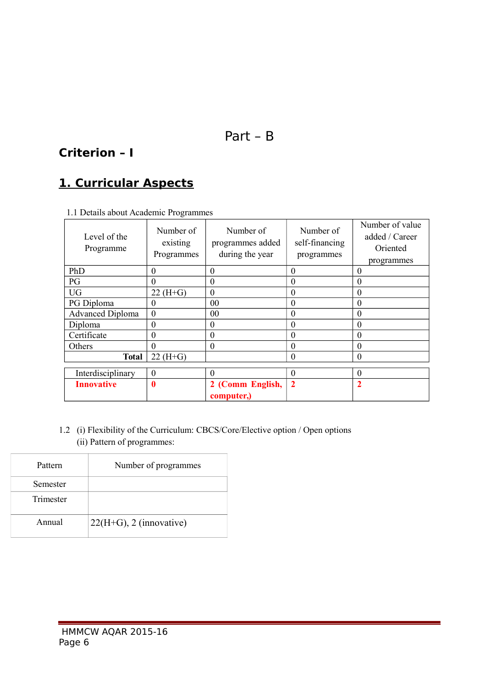# Part – B

### **Criterion – I**

# **1. Curricular Aspects**

| Level of the<br>Programme | Number of<br>existing<br>Programmes | Number of<br>programmes added<br>during the year | Number of<br>self-financing<br>programmes | Number of value<br>added / Career<br>Oriented<br>programmes |
|---------------------------|-------------------------------------|--------------------------------------------------|-------------------------------------------|-------------------------------------------------------------|
| PhD                       | $\theta$                            | $\theta$                                         | $\Omega$                                  | $\theta$                                                    |
| PG                        | $\theta$                            | $\theta$                                         | $\Omega$                                  | $\overline{0}$                                              |
| <b>UG</b>                 | $22(H+G)$                           | $\theta$                                         | $\theta$                                  | $\overline{0}$                                              |
| PG Diploma                | $\theta$                            | 0 <sup>0</sup>                                   | $\theta$                                  | $\theta$                                                    |
| <b>Advanced Diploma</b>   | $\theta$                            | 00                                               | $\Omega$                                  | $\overline{0}$                                              |
| Diploma                   | $\boldsymbol{0}$                    | $\boldsymbol{0}$                                 | $\theta$                                  | $\theta$                                                    |
| Certificate               | $\boldsymbol{0}$                    | $\boldsymbol{0}$                                 | $\theta$                                  | $\theta$                                                    |
| Others                    | $\theta$                            | $\theta$                                         | $\Omega$                                  | $\overline{0}$                                              |
| <b>Total</b>              | $22(H+G)$                           |                                                  | $\theta$                                  | $\overline{0}$                                              |
| Interdisciplinary         | $\Omega$                            | $\theta$                                         | $\Omega$                                  | $\theta$                                                    |
| <b>Innovative</b>         | $\bf{0}$                            | 2 (Comm English,                                 | $\overline{2}$                            | $\overline{\mathbf{2}}$                                     |
|                           |                                     | computer,)                                       |                                           |                                                             |

1.1 Details about Academic Programmes

1.2 (i) Flexibility of the Curriculum: CBCS/Core/Elective option / Open options (ii) Pattern of programmes:

| Pattern   | Number of programmes       |
|-----------|----------------------------|
| Semester  |                            |
| Trimester |                            |
| Annual    | $22(H+G)$ , 2 (innovative) |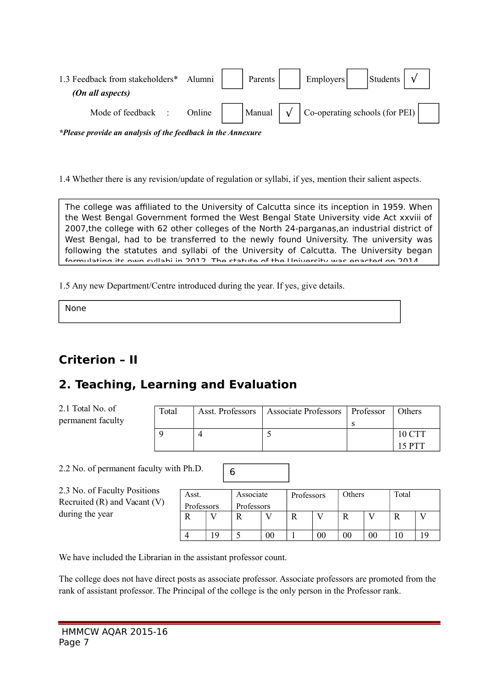| 1.3 Feedback from stakeholders*<br>(On all aspects) | Alumni | Parents | Employers                                      | Students |  |
|-----------------------------------------------------|--------|---------|------------------------------------------------|----------|--|
| Mode of feedback                                    | Online | Manual  | $\vert$ Co-operating schools (for PEI) $\vert$ |          |  |

*\*Please provide an analysis of the feedback in the Annexure*

1.4 Whether there is any revision/update of regulation or syllabi, if yes, mention their salient aspects.

The college was affiliated to the University of Calcutta since its inception in 1959. When the West Bengal Government formed the West Bengal State University vide Act xxviii of 2007,the college with 62 other colleges of the North 24-parganas,an industrial district of West Bengal, had to be transferred to the newly found University. The university was following the statutes and syllabi of the University of Calcutta. The University began formulating its own syllabi in 2012. The statute of the University was enacted on 2014.

1.5 Any new Department/Centre introduced during the year. If yes, give details.

None

# **Criterion – II**

# **2. Teaching, Learning and Evaluation**

2.1 Total No. of permanent faculty

| Total | Asst. Professors   Associate Professors   Professor | Others |
|-------|-----------------------------------------------------|--------|
|       |                                                     |        |
|       |                                                     | 10 CTT |
|       |                                                     | 15 PTT |

2.2 No. of permanent faculty with Ph.D.

2.3 No. of Faculty Positions Recruited (R) and Vacant (V) during the year

| Asst.      |   | Associate  |    | Professors |        | Others |  | Total |  |
|------------|---|------------|----|------------|--------|--------|--|-------|--|
| Professors |   | Professors |    |            |        |        |  |       |  |
|            |   |            |    | R          |        |        |  |       |  |
|            |   |            |    |            |        |        |  |       |  |
|            | Q |            | Э0 |            | $00\,$ | 00     |  |       |  |

We have included the Librarian in the assistant professor count.

The college does not have direct posts as associate professor. Associate professors are promoted from the rank of assistant professor. The Principal of the college is the only person in the Professor rank.

6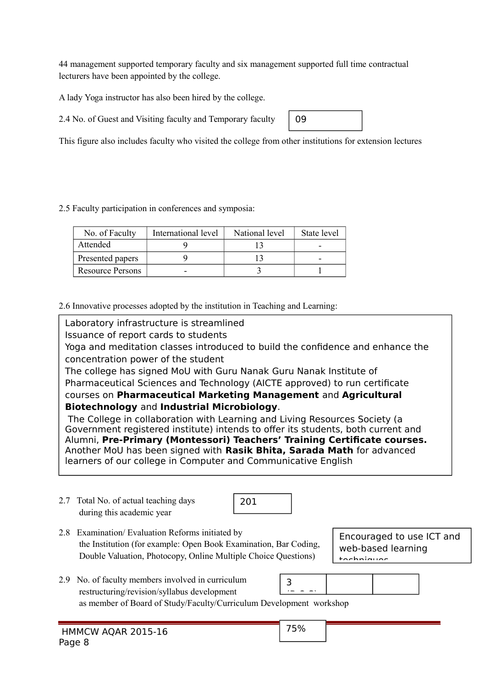44 management supported temporary faculty and six management supported full time contractual lecturers have been appointed by the college.

A lady Yoga instructor has also been hired by the college.

2.4 No. of Guest and Visiting faculty and Temporary faculty

This figure also includes faculty who visited the college from other institutions for extension lectures

09

2.5 Faculty participation in conferences and symposia:

| No. of Faculty   | International level | National level | State level |
|------------------|---------------------|----------------|-------------|
| Attended         |                     |                |             |
| Presented papers |                     |                |             |
| Resource Persons |                     |                |             |

2.6 Innovative processes adopted by the institution in Teaching and Learning:

Laboratory infrastructure is streamlined

Issuance of report cards to students

Yoga and meditation classes introduced to build the confidence and enhance the concentration power of the student

The college has signed MoU with Guru Nanak Guru Nanak Institute of Pharmaceutical Sciences and Technology (AICTE approved) to run certificate courses on **Pharmaceutical Marketing Management** and **Agricultural Biotechnology** and **Industrial Microbiology**.

The College in collaboration with Learning and Living Resources Society (a Government registered institute) intends to offer its students, both current and Alumni, **Pre-Primary (Montessori) Teachers' Training Certificate courses.** Another MoU has been signed with **Rasik Bhita, Sarada Math** for advanced learners of our college in Computer and Communicative English

2.7 Total No. of actual teaching days during this academic year



2.8 Examination/ Evaluation Reforms initiated by the Institution (for example: Open Book Examination, Bar Coding, Double Valuation, Photocopy, Online Multiple Choice Questions)

Encouraged to use ICT and web-based learning techniques

2.9 No. of faculty members involved in curriculum restructuring/revision/syllabus development 3  $\frac{1}{1-\frac{1}{1-\frac{1}{1-\frac{1}{1-\frac{1}{1-\frac{1}{1-\frac{1}{1-\frac{1}{1-\frac{1}{1-\frac{1}{1-\frac{1}{1-\frac{1}{1-\frac{1}{1-\frac{1}{1-\frac{1}{1-\frac{1}{1-\frac{1}{1-\frac{1}{1-\frac{1}{1-\frac{1}{1-\frac{1}{1-\frac{1}{1-\frac{1}{1-\frac{1}{1-\frac{1}{1-\frac{1}{1-\frac{1}{1-\frac{1}{1-\frac{1}{1-\frac{1}{1-\frac{1}{1-\frac{1}{1-\frac{1}{1-\frac{1}{1-\frac{1}{1-\frac{1}{1-\frac{1$ 

as member of Board of Study/Faculty/Curriculum Development workshop

75%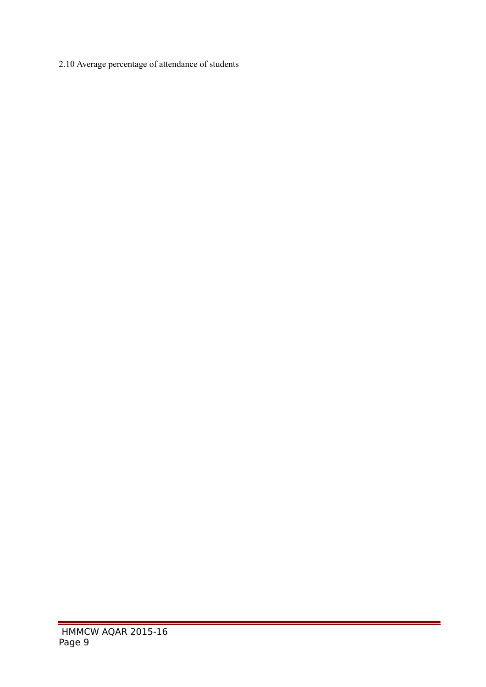2.10 Average percentage of attendance of students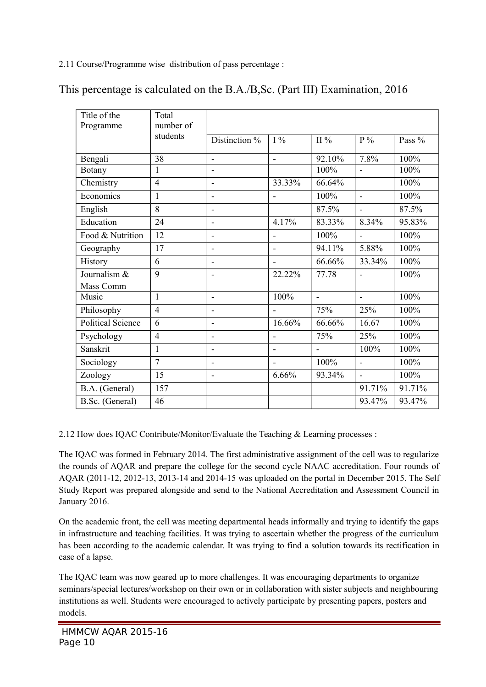2.11 Course/Programme wise distribution of pass percentage :

| Title of the             | Total<br>number of |                   |                          |                |                |        |
|--------------------------|--------------------|-------------------|--------------------------|----------------|----------------|--------|
| Programme                | students           |                   |                          |                |                |        |
|                          |                    | Distinction %     | $I\%$                    | $II\%$         | $P\%$          | Pass % |
| Bengali                  | 38                 | $\blacksquare$    | $\overline{\phantom{a}}$ | 92.10%         | 7.8%           | 100%   |
| <b>Botany</b>            | 1                  | $\blacksquare$    |                          | 100%           |                | 100%   |
| Chemistry                | $\overline{4}$     | ÷,                | 33.33%                   | 66.64%         |                | 100%   |
| Economics                | 1                  | $\blacksquare$    | $\blacksquare$           | 100%           | $\blacksquare$ | 100%   |
| English                  | 8                  | $\blacksquare$    |                          | 87.5%          |                | 87.5%  |
| Education                | 24                 | ۰                 | 4.17%                    | 83.33%         | 8.34%          | 95.83% |
| Food & Nutrition         | 12                 | $\blacksquare$    | $\overline{\phantom{a}}$ | 100%           | $\blacksquare$ | 100%   |
| Geography                | 17                 | $\qquad \qquad -$ | $\overline{a}$           | 94.11%         | 5.88%          | 100%   |
| History                  | 6                  | $\blacksquare$    |                          | 66.66%         | 33.34%         | 100%   |
| Journalism &             | 9                  | $\blacksquare$    | 22.22%                   | 77.78          |                | 100%   |
| Mass Comm                |                    |                   |                          |                |                |        |
| Music                    | 1                  | ÷,                | 100%                     | $\overline{a}$ | $\overline{a}$ | 100%   |
| Philosophy               | $\overline{4}$     | $\overline{a}$    |                          | 75%            | 25%            | 100%   |
| <b>Political Science</b> | 6                  | $\qquad \qquad -$ | 16.66%                   | 66.66%         | 16.67          | 100%   |
| Psychology               | $\overline{4}$     | $\blacksquare$    | $\overline{\phantom{a}}$ | 75%            | 25%            | 100%   |
| Sanskrit                 | 1                  | $\overline{a}$    | $\blacksquare$           |                | 100%           | 100%   |
| Sociology                | $\overline{7}$     | $\qquad \qquad -$ |                          | 100%           |                | 100%   |
| Zoology                  | 15                 | ۰                 | 6.66%                    | 93.34%         |                | 100%   |
| B.A. (General)           | 157                |                   |                          |                | 91.71%         | 91.71% |
| B.Sc. (General)          | 46                 |                   |                          |                | 93.47%         | 93.47% |

This percentage is calculated on the B.A./B,Sc. (Part III) Examination, 2016

2.12 How does IQAC Contribute/Monitor/Evaluate the Teaching & Learning processes :

The IQAC was formed in February 2014. The first administrative assignment of the cell was to regularize the rounds of AQAR and prepare the college for the second cycle NAAC accreditation. Four rounds of AQAR (2011-12, 2012-13, 2013-14 and 2014-15 was uploaded on the portal in December 2015. The Self Study Report was prepared alongside and send to the National Accreditation and Assessment Council in January 2016.

On the academic front, the cell was meeting departmental heads informally and trying to identify the gaps in infrastructure and teaching facilities. It was trying to ascertain whether the progress of the curriculum has been according to the academic calendar. It was trying to find a solution towards its rectification in case of a lapse.

The IQAC team was now geared up to more challenges. It was encouraging departments to organize seminars/special lectures/workshop on their own or in collaboration with sister subjects and neighbouring institutions as well. Students were encouraged to actively participate by presenting papers, posters and models.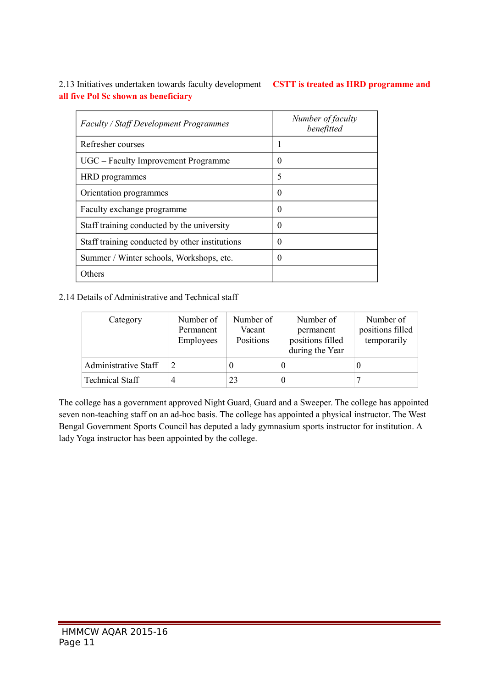2.13 Initiatives undertaken towards faculty development **CSTT is treated as HRD programme and all five Pol Sc shown as beneficiary**

| <b>Faculty / Staff Development Programmes</b>  | Number of faculty<br>benefitted |
|------------------------------------------------|---------------------------------|
| Refresher courses                              | ш                               |
| UGC – Faculty Improvement Programme            | $\theta$                        |
| HRD programmes                                 | 5                               |
| Orientation programmes                         | $\Omega$                        |
| Faculty exchange programme                     | $\theta$                        |
| Staff training conducted by the university     | $\theta$                        |
| Staff training conducted by other institutions | $\theta$                        |
| Summer / Winter schools, Workshops, etc.       | $\theta$                        |
| Others                                         |                                 |

### 2.14 Details of Administrative and Technical staff

| Category                    | Number of<br>Permanent<br>Employees | Number of<br>Vacant<br>Positions | Number of<br>permanent<br>positions filled<br>during the Year | Number of<br>positions filled<br>temporarily |
|-----------------------------|-------------------------------------|----------------------------------|---------------------------------------------------------------|----------------------------------------------|
| <b>Administrative Staff</b> |                                     |                                  | U                                                             |                                              |
| <b>Technical Staff</b>      | 4                                   | 23                               | U                                                             |                                              |

The college has a government approved Night Guard, Guard and a Sweeper. The college has appointed seven non-teaching staff on an ad-hoc basis. The college has appointed a physical instructor. The West Bengal Government Sports Council has deputed a lady gymnasium sports instructor for institution. A lady Yoga instructor has been appointed by the college.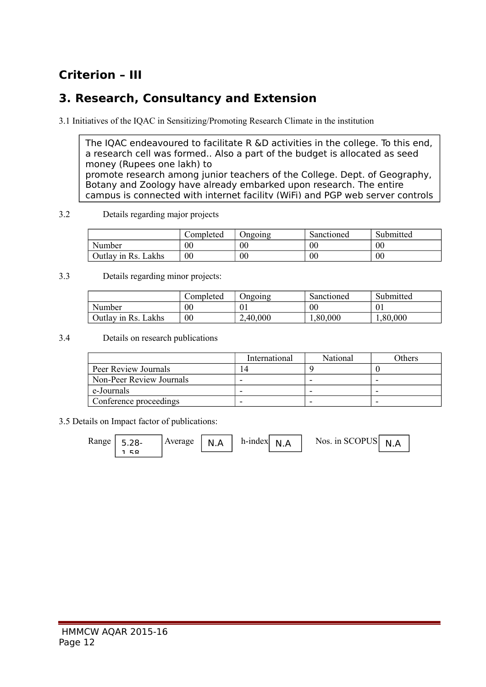# **Criterion – III**

### **3. Research, Consultancy and Extension**

3.1 Initiatives of the IQAC in Sensitizing/Promoting Research Climate in the institution

The IQAC endeavoured to facilitate R &D activities in the college. To this end, a research cell was formed.. Also a part of the budget is allocated as seed money (Rupees one lakh) to promote research among junior teachers of the College. Dept. of Geography, Botany and Zoology have already embarked upon research. The entire campus is connected with internet facility (WiFi) and PGP web server controls

#### 3.2 Details regarding major projects

|                        | ∑ompleted      | Jngoing        | Sanctioned | Submitted      |
|------------------------|----------------|----------------|------------|----------------|
| Number                 | 00             | 00             | $00\,$     | 0 <sub>0</sub> |
| Lakhs<br>Outlay in Rs. | 0 <sub>0</sub> | 0 <sub>0</sub> | $00\,$     | 0 <sub>0</sub> |

### 3.3 Details regarding minor projects:

|                        | Completed | Jngoing  | Sanctioned | Submitted |
|------------------------|-----------|----------|------------|-----------|
| Number                 | $00\,$    |          | 00         |           |
| Lakhs<br>Outlay in Rs. | $00\,$    | 2,40,000 | 0.80,000   | 0.80,000  |

3.4 Details on research publications

|                          | International | National | Others |
|--------------------------|---------------|----------|--------|
| Peer Review Journals     | 14            |          |        |
| Non-Peer Review Journals |               | -        | -      |
| e-Journals               |               | -        |        |
| Conference proceedings   |               |          | -      |

3.5 Details on Impact factor of publications:

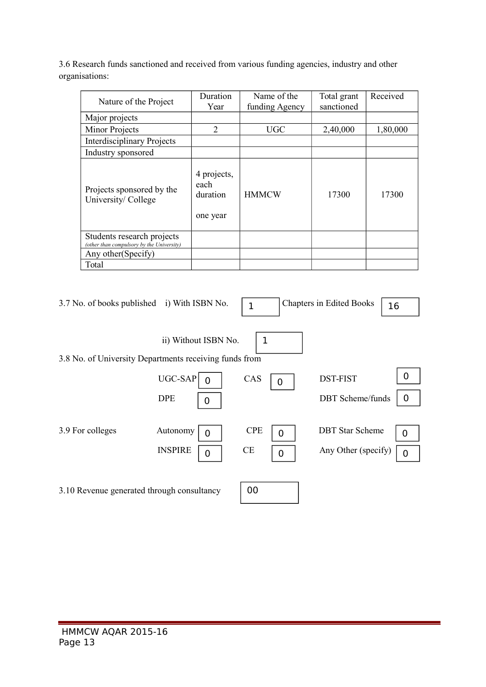3.6 Research funds sanctioned and received from various funding agencies, industry and other organisations:

| Nature of the Project                                                   | Duration<br>Year                            | Name of the<br>funding Agency | Total grant<br>sanctioned | Received |
|-------------------------------------------------------------------------|---------------------------------------------|-------------------------------|---------------------------|----------|
| Major projects                                                          |                                             |                               |                           |          |
| Minor Projects                                                          | 2                                           | <b>UGC</b>                    | 2,40,000                  | 1,80,000 |
| <b>Interdisciplinary Projects</b>                                       |                                             |                               |                           |          |
| Industry sponsored                                                      |                                             |                               |                           |          |
| Projects sponsored by the<br>University/ College                        | 4 projects,<br>each<br>duration<br>one year | <b>HMMCW</b>                  | 17300                     | 17300    |
| Students research projects<br>(other than compulsory by the University) |                                             |                               |                           |          |
| Any other (Specify)                                                     |                                             |                               |                           |          |
| Total                                                                   |                                             |                               |                           |          |

| 3.7 No. of books published i) With ISBN No.            |                           | 1          |   | <b>Chapters in Edited Books</b> | 16 |
|--------------------------------------------------------|---------------------------|------------|---|---------------------------------|----|
| 3.8 No. of University Departments receiving funds from | ii) Without ISBN No.      | 1          |   |                                 |    |
|                                                        | UGC-SAP<br><sup>0</sup>   | CAS        | 0 | <b>DST-FIST</b>                 | 0  |
|                                                        | <b>DPE</b><br>$\mathbf 0$ |            |   | <b>DBT</b> Scheme/funds         | 0  |
| 3.9 For colleges                                       | Autonomy<br>$\Omega$      | <b>CPE</b> | 0 | <b>DBT</b> Star Scheme          | 0  |
|                                                        | <b>INSPIRE</b>            | <b>CE</b>  | 0 | Any Other (specify)             | 0  |
| 3.10 Revenue generated through consultancy             |                           | 00         |   |                                 |    |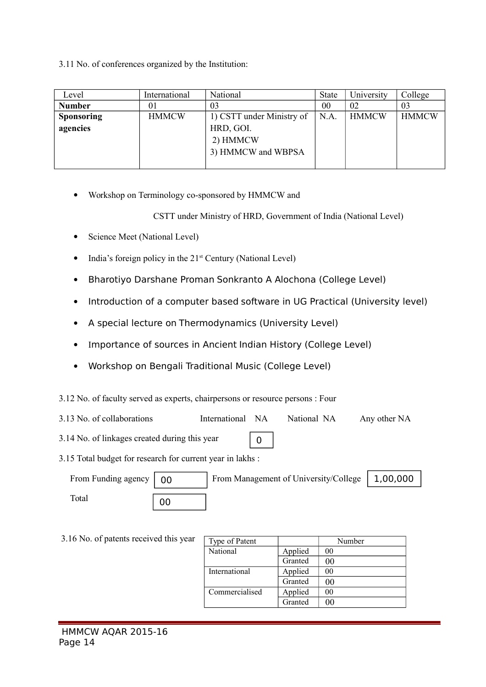3.11 No. of conferences organized by the Institution:

| Level             | International | National                  | <b>State</b> | University   | College      |
|-------------------|---------------|---------------------------|--------------|--------------|--------------|
| <b>Number</b>     | 01            | 03                        | 00           | 02           | 03           |
| <b>Sponsoring</b> | <b>HMMCW</b>  | 1) CSTT under Ministry of | N.A          | <b>HMMCW</b> | <b>HMMCW</b> |
| agencies          |               | HRD, GOI.                 |              |              |              |
|                   |               | 2) HMMCW                  |              |              |              |
|                   |               | 3) HMMCW and WBPSA        |              |              |              |
|                   |               |                           |              |              |              |

Workshop on Terminology co-sponsored by HMMCW and

CSTT under Ministry of HRD, Government of India (National Level)

- Science Meet (National Level)
- $\bullet$  India's foreign policy in the 21<sup>st</sup> Century (National Level)
- Bharotiyo Darshane Proman Sonkranto A Alochona (College Level)
- Introduction of a computer based software in UG Practical (University level)
- A special lecture on Thermodynamics (University Level)
- Importance of sources in Ancient Indian History (College Level)
- Workshop on Bengali Traditional Music (College Level)
- 3.12 No. of faculty served as experts, chairpersons or resource persons : Four
- 3.13 No. of collaborations International NA National NA Any other NA
- 3.14 No. of linkages created during this year  $\Omega$
- 3.15 Total budget for research for current year in lakhs :

| From Funding agency $\vert$ 00 |    | From Management of University/College   1,00,000 |  |
|--------------------------------|----|--------------------------------------------------|--|
| Total                          | 00 |                                                  |  |

| 3.16 No. of patents received this year | Type of Patent |         | Number |
|----------------------------------------|----------------|---------|--------|
|                                        | National       | Applied | 00     |
|                                        |                | Granted | 00     |
|                                        | International  | Applied | 00     |
|                                        |                | Granted | 00     |
|                                        | Commercialised | Applied | 00     |
|                                        |                | Granted | 00     |
|                                        |                |         |        |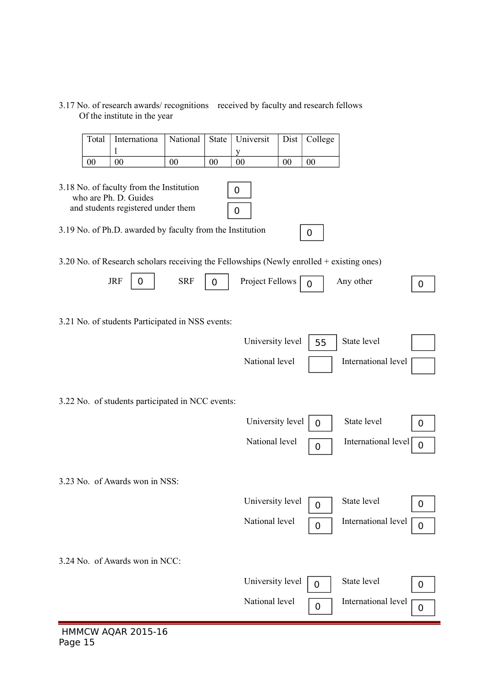| Internationa<br>Universit<br>National<br>Dist<br>College<br>Total<br><b>State</b><br>1<br>0 <sub>0</sub><br>$00\,$<br>00<br>00<br>00<br>00<br>00<br>3.18 No. of faculty from the Institution<br>0<br>who are Ph. D. Guides<br>and students registered under them<br>$\mathbf 0$<br>3.19 No. of Ph.D. awarded by faculty from the Institution<br>0<br>3.20 No. of Research scholars receiving the Fellowships (Newly enrolled + existing ones)<br><b>JRF</b><br><b>SRF</b><br>Project Fellows<br>Any other<br>0<br>0<br>$\overline{0}$<br>$\mathbf 0$<br>3.21 No. of students Participated in NSS events:<br>State level<br>University level<br>55<br>National level<br>International level |
|--------------------------------------------------------------------------------------------------------------------------------------------------------------------------------------------------------------------------------------------------------------------------------------------------------------------------------------------------------------------------------------------------------------------------------------------------------------------------------------------------------------------------------------------------------------------------------------------------------------------------------------------------------------------------------------------|
|                                                                                                                                                                                                                                                                                                                                                                                                                                                                                                                                                                                                                                                                                            |
|                                                                                                                                                                                                                                                                                                                                                                                                                                                                                                                                                                                                                                                                                            |
|                                                                                                                                                                                                                                                                                                                                                                                                                                                                                                                                                                                                                                                                                            |
|                                                                                                                                                                                                                                                                                                                                                                                                                                                                                                                                                                                                                                                                                            |
|                                                                                                                                                                                                                                                                                                                                                                                                                                                                                                                                                                                                                                                                                            |
|                                                                                                                                                                                                                                                                                                                                                                                                                                                                                                                                                                                                                                                                                            |
|                                                                                                                                                                                                                                                                                                                                                                                                                                                                                                                                                                                                                                                                                            |
|                                                                                                                                                                                                                                                                                                                                                                                                                                                                                                                                                                                                                                                                                            |
|                                                                                                                                                                                                                                                                                                                                                                                                                                                                                                                                                                                                                                                                                            |
| 3.22 No. of students participated in NCC events:                                                                                                                                                                                                                                                                                                                                                                                                                                                                                                                                                                                                                                           |
| State level<br>University level<br>$\overline{0}$<br>0                                                                                                                                                                                                                                                                                                                                                                                                                                                                                                                                                                                                                                     |
| National level<br>International level<br>0<br>$\mathbf 0$                                                                                                                                                                                                                                                                                                                                                                                                                                                                                                                                                                                                                                  |
| 3.23 No. of Awards won in NSS:                                                                                                                                                                                                                                                                                                                                                                                                                                                                                                                                                                                                                                                             |
| University level<br>State level<br>$\mathbf 0$<br>$\mathbf 0$                                                                                                                                                                                                                                                                                                                                                                                                                                                                                                                                                                                                                              |
| National level<br>International level<br>$\pmb{0}$<br>$\mathbf 0$                                                                                                                                                                                                                                                                                                                                                                                                                                                                                                                                                                                                                          |
| 3.24 No. of Awards won in NCC:                                                                                                                                                                                                                                                                                                                                                                                                                                                                                                                                                                                                                                                             |
| State level<br>University level<br>0<br>0                                                                                                                                                                                                                                                                                                                                                                                                                                                                                                                                                                                                                                                  |
| National level<br>International level<br>$\mathbf 0$<br>0                                                                                                                                                                                                                                                                                                                                                                                                                                                                                                                                                                                                                                  |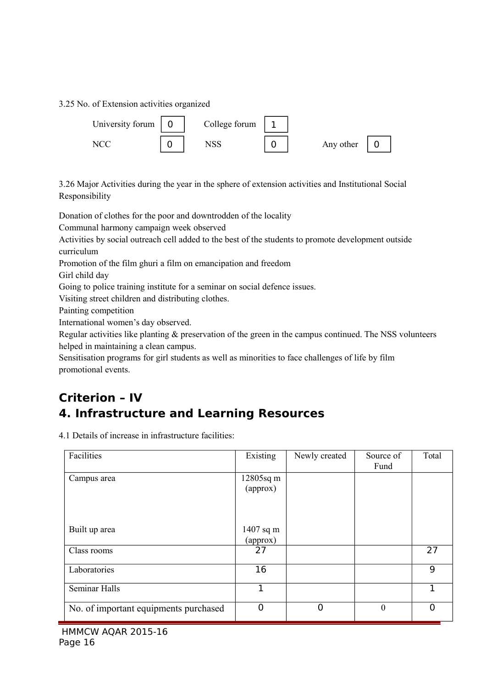3.25 No. of Extension activities organized



3.26 Major Activities during the year in the sphere of extension activities and Institutional Social Responsibility

Donation of clothes for the poor and downtrodden of the locality

Communal harmony campaign week observed

Activities by social outreach cell added to the best of the students to promote development outside curriculum

Promotion of the film ghuri a film on emancipation and freedom

Girl child day

Going to police training institute for a seminar on social defence issues.

Visiting street children and distributing clothes.

Painting competition

International women's day observed.

Regular activities like planting & preservation of the green in the campus continued. The NSS volunteers helped in maintaining a clean campus.

Sensitisation programs for girl students as well as minorities to face challenges of life by film promotional events.

# **Criterion – IV 4. Infrastructure and Learning Resources**

4.1 Details of increase in infrastructure facilities:

| Facilities                            | Existing              | Newly created | Source of<br>Fund | Total    |
|---------------------------------------|-----------------------|---------------|-------------------|----------|
| Campus area                           | 12805sq m<br>(approx) |               |                   |          |
| Built up area                         | 1407 sq m<br>(approx) |               |                   |          |
| Class rooms                           | 27                    |               |                   | 27       |
| Laboratories                          | 16                    |               |                   | 9        |
| Seminar Halls                         | 1                     |               |                   | 1        |
| No. of important equipments purchased | $\overline{0}$        | 0             | $\mathbf{0}$      | $\Omega$ |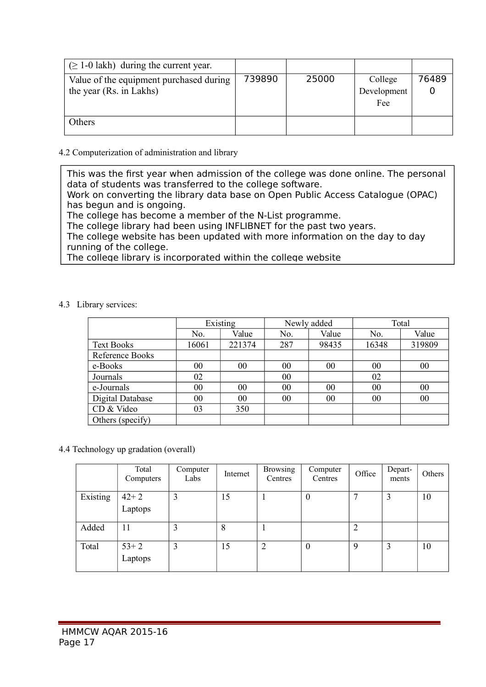| $(\geq 1$ -0 lakh) during the current year.                        |        |       |                               |       |
|--------------------------------------------------------------------|--------|-------|-------------------------------|-------|
| Value of the equipment purchased during<br>the year (Rs. in Lakhs) | 739890 | 25000 | College<br>Development<br>Fee | 76489 |
| Others                                                             |        |       |                               |       |

### 4.2 Computerization of administration and library

This was the first year when admission of the college was done online. The personal data of students was transferred to the college software.

Work on converting the library data base on Open Public Access Catalogue (OPAC) has begun and is ongoing.

The college has become a member of the N-List programme.

The college library had been using INFLIBNET for the past two years.

The college website has been updated with more information on the day to day running of the college.

The college library is incorporated within the college website

#### 4.3 Library services:

|                   | Existing |        |     | Newly added | Total |        |
|-------------------|----------|--------|-----|-------------|-------|--------|
|                   | No.      | Value  | No. | Value       | No.   | Value  |
| <b>Text Books</b> | 16061    | 221374 | 287 | 98435       | 16348 | 319809 |
| Reference Books   |          |        |     |             |       |        |
| e-Books           | 00       | 00     | 00  | 00          | 00    | 00     |
| Journals          | 02       |        | 00  |             | 02    |        |
| e-Journals        | 00       | 00     | 00  | 00          | 00    | 00     |
| Digital Database  | 00       | 00     | 00  | 00          | 00    | 00     |
| CD & Video        | 03       | 350    |     |             |       |        |
| Others (specify)  |          |        |     |             |       |        |

### 4.4 Technology up gradation (overall)

|          | Total<br>Computers | Computer<br>Labs | Internet | <b>Browsing</b><br>Centres | Computer<br>Centres | Office         | Depart-<br>ments | Others |
|----------|--------------------|------------------|----------|----------------------------|---------------------|----------------|------------------|--------|
| Existing | $42 + 2$           |                  | 15       |                            | $\theta$            | −              | 3                | 10     |
|          | Laptops            |                  |          |                            |                     |                |                  |        |
| Added    | 11                 |                  | 8        |                            |                     | $\overline{2}$ |                  |        |
| Total    | $53 + 2$           | 3                | 15       | 2                          | $\theta$            | 9              | 3                | 10     |
|          | Laptops            |                  |          |                            |                     |                |                  |        |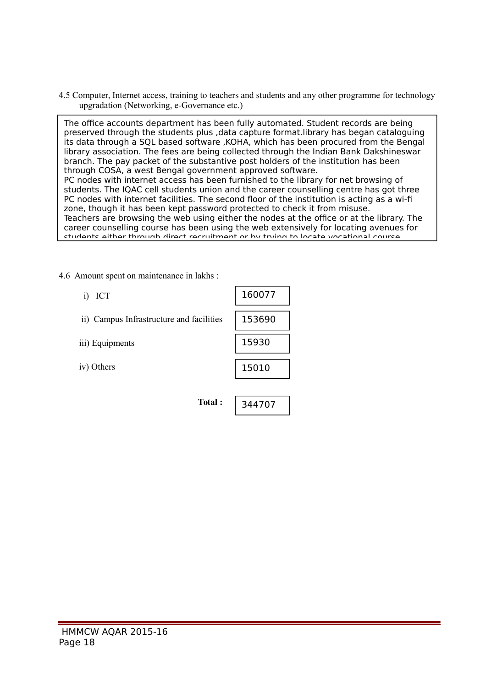4.5 Computer, Internet access, training to teachers and students and any other programme for technology upgradation (Networking, e-Governance etc.)

The office accounts department has been fully automated. Student records are being preserved through the students plus ,data capture format.library has began cataloguing its data through a SQL based software ,KOHA, which has been procured from the Bengal library association. The fees are being collected through the Indian Bank Dakshineswar branch. The pay packet of the substantive post holders of the institution has been through COSA, a west Bengal government approved software. PC nodes with internet access has been furnished to the library for net browsing of students. The IQAC cell students union and the career counselling centre has got three PC nodes with internet facilities. The second floor of the institution is acting as a wi-fi zone, though it has been kept password protected to check it from misuse. Teachers are browsing the web using either the nodes at the office or at the library. The career counselling course has been using the web extensively for locating avenues for students either through direct recruitment or by trying to locate vocational course

4.6 Amount spent on maintenance in lakhs :

| ICT<br>1)                                | 160077 |
|------------------------------------------|--------|
| ii) Campus Infrastructure and facilities | 153690 |
| iii) Equipments                          | 15930  |
| iv) Others                               | 15010  |
|                                          |        |
| Total:                                   | 344707 |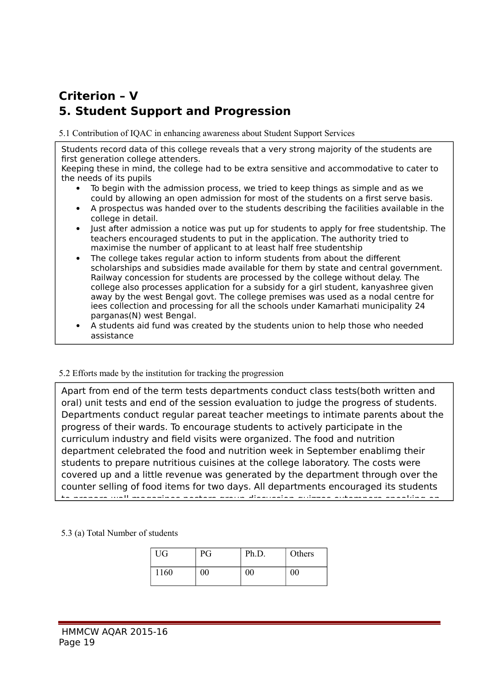# **Criterion – V 5. Student Support and Progression**

5.1 Contribution of IQAC in enhancing awareness about Student Support Services

Students record data of this college reveals that a very strong majority of the students are first generation college attenders.

Keeping these in mind, the college had to be extra sensitive and accommodative to cater to the needs of its pupils

- To begin with the admission process, we tried to keep things as simple and as we could by allowing an open admission for most of the students on a first serve basis.
- A prospectus was handed over to the students describing the facilities available in the college in detail.
- Just after admission a notice was put up for students to apply for free studentship. The teachers encouraged students to put in the application. The authority tried to maximise the number of applicant to at least half free studentship
- The college takes regular action to inform students from about the different scholarships and subsidies made available for them by state and central government. Railway concession for students are processed by the college without delay. The college also processes application for a subsidy for a girl student, kanyashree given away by the west Bengal govt. The college premises was used as a nodal centre for iees collection and processing for all the schools under Kamarhati municipality 24 parganas(N) west Bengal.
- A students aid fund was created by the students union to help those who needed assistance

Special remedial remedial remedial classes for scalar backward category studients was sourced at  $\alpha$ 

#### 5.2 Efforts made by the institution for tracking the progression

Apart from end of the term tests departments conduct class tests(both written and oral) unit tests and end of the session evaluation to judge the progress of students. Departments conduct regular pareat teacher meetings to intimate parents about the progress of their wards. To encourage students to actively participate in the curriculum industry and field visits were organized. The food and nutrition department celebrated the food and nutrition week in September enablimg their students to prepare nutritious cuisines at the college laboratory. The costs were covered up and a little revenue was generated by the department through over the counter selling of food items for two days. All departments encouraged its students to prepare wall magazines posters group discussion quizzes extempore speaking on

5.3 (a) Total Number of students

| UG   | PG     | Ph.D.  | Others |
|------|--------|--------|--------|
| 1160 | $00\,$ | $00\,$ | $00\,$ |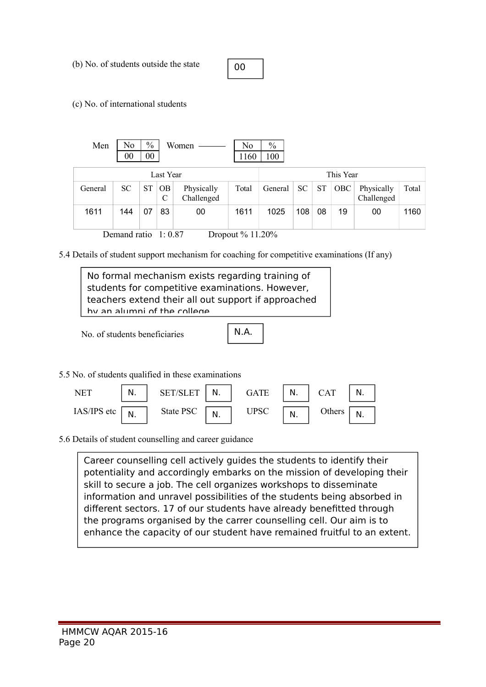(b) No. of students outside the state

00

(c) No. of international students

| Men     | No<br>00                                   | $\%$<br>$00\,$ |          | Women                    | No<br>1160 | $\%$<br>100 |     |           |     |                          |       |
|---------|--------------------------------------------|----------------|----------|--------------------------|------------|-------------|-----|-----------|-----|--------------------------|-------|
|         | Last Year                                  |                |          |                          |            |             |     | This Year |     |                          |       |
| General | <b>SC</b>                                  | <b>ST</b>      | OB.<br>C | Physically<br>Challenged | Total      | General     | SC  | <b>ST</b> | OBC | Physically<br>Challenged | Total |
| 1611    | 144                                        | 07             | 83       | 00                       | 1611       | 1025        | 108 | 08        | 19  | 00                       | 1160  |
|         | Demand ratio<br>Dropout % 11.20%<br>1:0.87 |                |          |                          |            |             |     |           |     |                          |       |

5.4 Details of student support mechanism for coaching for competitive examinations (If any)

No formal mechanism exists regarding training of students for competitive examinations. However, teachers extend their all out support if approached by an alumni of the college.

No. of students beneficiaries

N.A.

5.5 No. of students qualified in these examinations



5.6 Details of student counselling and career guidance

enhance the capacity of our student have remained fruitful to an extent. Career counselling cell actively guides the students to identify their potentiality and accordingly embarks on the mission of developing their skill to secure a job. The cell organizes workshops to disseminate information and unravel possibilities of the students being absorbed in different sectors. 17 of our students have already benefitted through the programs organised by the carrer counselling cell. Our aim is to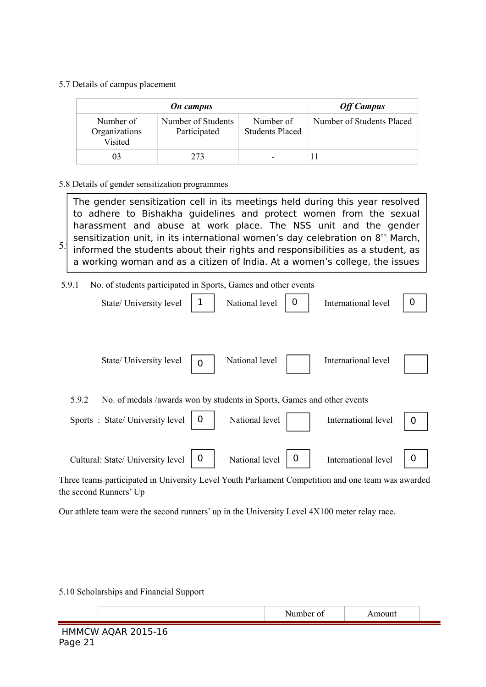5.7 Details of campus placement

|                                       | <b>Off Campus</b>                  |                                     |                           |
|---------------------------------------|------------------------------------|-------------------------------------|---------------------------|
| Number of<br>Organizations<br>Visited | Number of Students<br>Participated | Number of<br><b>Students Placed</b> | Number of Students Placed |
| 03                                    | 273                                |                                     |                           |

5.8 Details of gender sensitization programmes

 $5.9$  informed the students about their rights and responsibilities as a student, as The gender sensitization cell in its meetings held during this year resolved to adhere to Bishakha guidelines and protect women from the sexual harassment and abuse at work place. The NSS unit and the gender sensitization unit, in its international women's day celebration on 8<sup>th</sup> March, a working woman and as a citizen of India. At a women's college, the issues

 5.9.1 No. of students participated in Sports, Games and other events of women, the rights and responsibilities and responsibilities additional therein were discussed therein were discussed

| State/ University level                                                                            | 1           | National level | 0 | International level | 0 |
|----------------------------------------------------------------------------------------------------|-------------|----------------|---|---------------------|---|
| State/ University level                                                                            | 0           | National level |   | International level |   |
| 5.9.2<br>No. of medals /awards won by students in Sports, Games and other events                   |             |                |   |                     |   |
| Sports: State/University level                                                                     | 0           | National level |   | International level | 0 |
|                                                                                                    |             |                |   |                     |   |
| Cultural: State/ University level                                                                  | $\mathbf 0$ | National level | 0 | International level | O |
| Three teams participated in University Level Youth Parliament Competition and one team was awarded |             |                |   |                     |   |
| the second Runners' Up                                                                             |             |                |   |                     |   |

Our athlete team were the second runners' up in the University Level 4X100 meter relay race.

5.10 Scholarships and Financial Support

|                               | Number of | Amount |  |
|-------------------------------|-----------|--------|--|
| HMMCW AQAR 2015-16<br>Page 21 |           |        |  |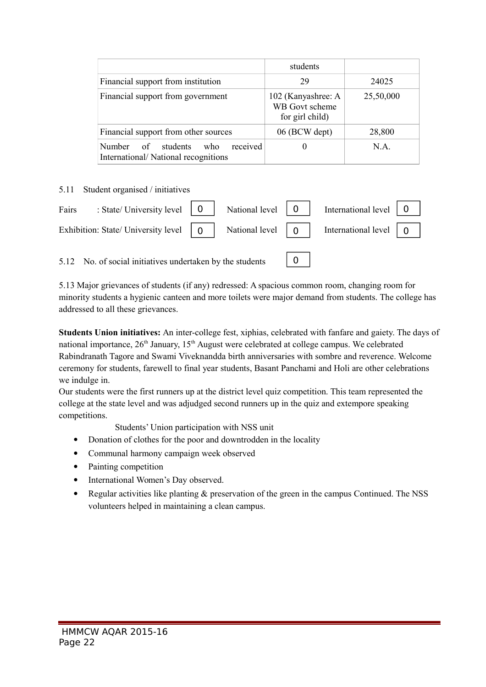|                                                                                           | students                                                |           |
|-------------------------------------------------------------------------------------------|---------------------------------------------------------|-----------|
| Financial support from institution                                                        | 29                                                      | 24025     |
| Financial support from government                                                         | 102 (Kanyashree: A<br>WB Govt scheme<br>for girl child) | 25,50,000 |
| Financial support from other sources                                                      | 06 (BCW dept)                                           | 28,800    |
| received<br>students<br><b>Number</b><br>who<br>of<br>International/National recognitions | U                                                       | NA.       |

#### 5.11 Student organised / initiatives

| Fairs : State/University level $\begin{vmatrix} 0 \\ 1 \end{vmatrix}$ National level $\begin{vmatrix} 0 \\ 0 \end{vmatrix}$ International level $\begin{vmatrix} 0 \\ 1 \end{vmatrix}$      |  |  |  |
|---------------------------------------------------------------------------------------------------------------------------------------------------------------------------------------------|--|--|--|
| Exhibition: State/ University level $\begin{vmatrix} 0 \\ 1 \end{vmatrix}$ National level $\begin{vmatrix} 0 \\ 0 \end{vmatrix}$ International level $\begin{vmatrix} 0 \\ 1 \end{vmatrix}$ |  |  |  |
|                                                                                                                                                                                             |  |  |  |

5.12 No. of social initiatives undertaken by the students

5.13 Major grievances of students (if any) redressed: A spacious common room, changing room for minority students a hygienic canteen and more toilets were major demand from students. The college has addressed to all these grievances.

 $|0|$ 

**Students Union initiatives:** An inter-college fest, xiphias, celebrated with fanfare and gaiety. The days of national importance,  $26<sup>th</sup>$  January,  $15<sup>th</sup>$  August were celebrated at college campus. We celebrated Rabindranath Tagore and Swami Viveknandda birth anniversaries with sombre and reverence. Welcome ceremony for students, farewell to final year students, Basant Panchami and Holi are other celebrations we indulge in.

Our students were the first runners up at the district level quiz competition. This team represented the college at the state level and was adjudged second runners up in the quiz and extempore speaking competitions.

Students' Union participation with NSS unit

- Donation of clothes for the poor and downtrodden in the locality
- Communal harmony campaign week observed
- Painting competition
- International Women's Day observed.
- Regular activities like planting & preservation of the green in the campus Continued. The NSS volunteers helped in maintaining a clean campus.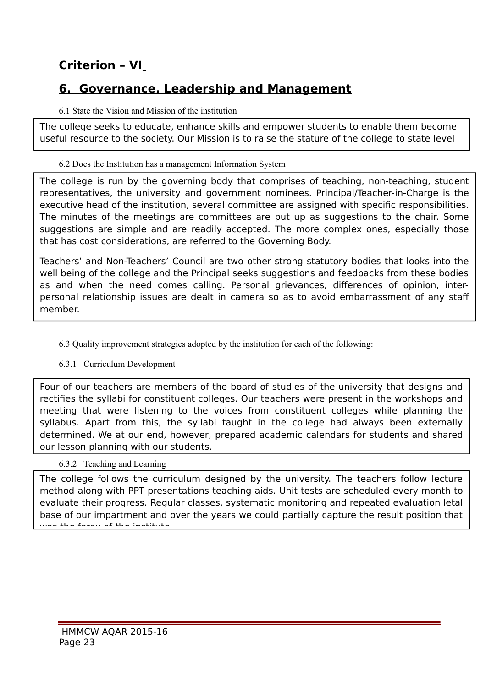# **Criterion – VI**

<u>in future .</u>

### **6. Governance, Leadership and Management**

### 6.1 State the Vision and Mission of the institution

The college seeks to educate, enhance skills and empower students to enable them become useful resource to the society. Our Mission is to raise the stature of the college to state level

### 6.2 Does the Institution has a management Information System

The college is run by the governing body that comprises of teaching, non-teaching, student representatives, the university and government nominees. Principal/Teacher-in-Charge is the executive head of the institution, several committee are assigned with specific responsibilities. The minutes of the meetings are committees are put up as suggestions to the chair. Some suggestions are simple and are readily accepted. The more complex ones, especially those that has cost considerations, are referred to the Governing Body.

Teachers' and Non-Teachers' Council are two other strong statutory bodies that looks into the well being of the college and the Principal seeks suggestions and feedbacks from these bodies as and when the need comes calling. Personal grievances, differences of opinion, interpersonal relationship issues are dealt in camera so as to avoid embarrassment of any staff member.

### 6.3 Quality improvement strategies adopted by the institution for each of the following:

### 6.3.1 Curriculum Development

Four of our teachers are members of the board of studies of the university that designs and rectifies the syllabi for constituent colleges. Our teachers were present in the workshops and meeting that were listening to the voices from constituent colleges while planning the syllabus. Apart from this, the syllabi taught in the college had always been externally determined. We at our end, however, prepared academic calendars for students and shared our lesson planning with our students.

### 6.3.2 Teaching and Learning

was the foray of the institute. The college follows the curriculum designed by the university. The teachers follow lecture method along with PPT presentations teaching aids. Unit tests are scheduled every month to evaluate their progress. Regular classes, systematic monitoring and repeated evaluation letal base of our impartment and over the years we could partially capture the result position that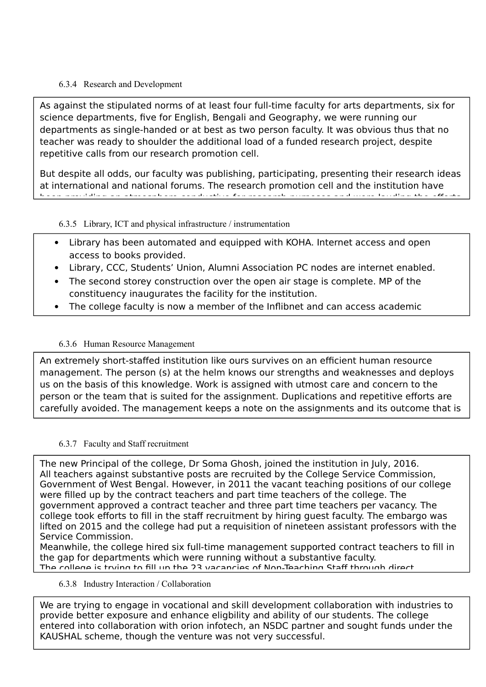### 6.3.4 Research and Development

As against the stipulated norms of at least four full-time faculty for arts departments, six for science departments, five for English, Bengali and Geography, we were running our departments as single-handed or at best as two person faculty. It was obvious thus that no teacher was ready to shoulder the additional load of a funded research project, despite repetitive calls from our research promotion cell.

But despite all odds, our faculty was publishing, participating, presenting their research ideas at international and national forums. The research promotion cell and the institution have been providing and attendance conductive for research purposes and were lauding the efforts and were  $\alpha$ 

### 6.3.5 Library, ICT and physical infrastructure / instrumentation

- Library has been automated and equipped with KOHA. Internet access and open access to books provided.
- Library, CCC, Students' Union, Alumni Association PC nodes are internet enabled.
- The second storey construction over the open air stage is complete. MP of the constituency inaugurates the facility for the institution.
- The college faculty is now a member of the Inflibnet and can access academic

### 6.3.6 Human Resource Management

An extremely short-staffed institution like ours survives on an efficient human resource management. The person (s) at the helm knows our strengths and weaknesses and deploys us on the basis of this knowledge. Work is assigned with utmost care and concern to the person or the team that is suited for the assignment. Duplications and repetitive efforts are carefully avoided. The management keeps a note on the assignments and its outcome that is

readily shared with the stakeholder. We strive on teamwork as our motto.

### 6.3.7 Faculty and Staff recruitment

The new Principal of the college, Dr Soma Ghosh, joined the institution in July, 2016. All teachers against substantive posts are recruited by the College Service Commission, Government of West Bengal. However, in 2011 the vacant teaching positions of our college were filled up by the contract teachers and part time teachers of the college. The government approved a contract teacher and three part time teachers per vacancy. The college took efforts to fill in the staff recruitment by hiring guest faculty. The embargo was lifted on 2015 and the college had put a requisition of nineteen assistant professors with the Service Commission.

Meanwhile, the college hired six full-time management supported contract teachers to fill in the gap for departments which were running without a substantive faculty. The college is trying to fill up the 23 vacancies of Non-Teaching Staff through direct

6.3.8 Industry Interaction / Collaboration

 $H$ M  $\epsilon$  cheme though the  $H$ KAUSHAL scheme, though the venture was not very successful. We are trying to engage in vocational and skill development collaboration with industries to provide better exposure and enhance eligbility and ability of our students. The college entered into collaboration with orion infotech, an NSDC partner and sought funds under the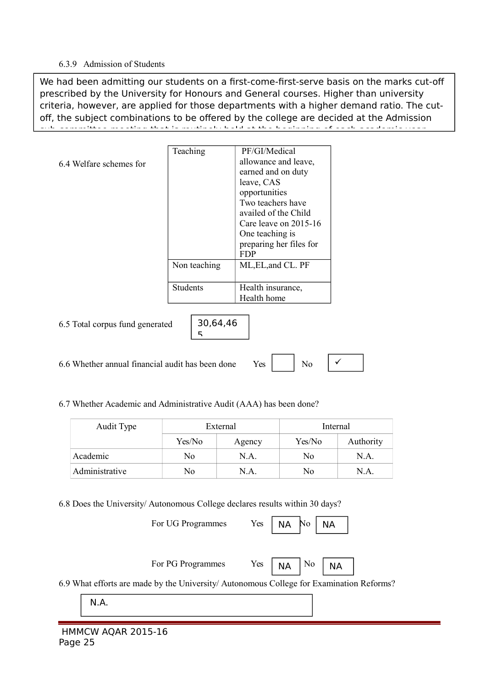#### 6.3.9 Admission of Students

We had been admitting our students on a first-come-first-serve basis on the marks cut-off prescribed by the University for Honours and General courses. Higher than university criteria, however, are applied for those departments with a higher demand ratio. The cutoff, the subject combinations to be offered by the college are decided at the Admission sub-committee meeting that is routinely held at the beginning of each academic year.

|                                 | Teaching        | PF/GI/Medical           |
|---------------------------------|-----------------|-------------------------|
| 6.4 Welfare schemes for         |                 | allowance and leave,    |
|                                 |                 | earned and on duty      |
|                                 |                 | leave, CAS              |
|                                 |                 | opportunities           |
|                                 |                 | Two teachers have       |
|                                 |                 | availed of the Child    |
|                                 |                 | Care leave on $2015-16$ |
|                                 |                 | One teaching is         |
|                                 |                 | preparing her files for |
|                                 |                 | FDP                     |
|                                 | Non teaching    | ML, EL, and CL. PF      |
|                                 |                 |                         |
|                                 | <b>Students</b> | Health insurance,       |
|                                 |                 | Health home             |
|                                 |                 |                         |
| 6.5 Total corpus fund generated | 30,64,46        |                         |

5

6.6 Whether annual financial audit has been done  $Yes$   $\parallel$  No

 $\checkmark$ 

6.7 Whether Academic and Administrative Audit (AAA) has been done?

| Audit Type     | External |        | Internal |           |
|----------------|----------|--------|----------|-----------|
|                | Yes/No   | Agency | Yes/No   | Authority |
| Academic       | No       | N.A.   | No       | N.A.      |
| Administrative | No       | N.A.   | No       | N.A.      |

6.8 Does the University/ Autonomous College declares results within 30 days?

For UG Programmes Yes | NA No

NA NA

For PG Programmes Yes  $\vert$  No  $\vert$  No



NA

6.9 What efforts are made by the University/ Autonomous College for Examination Reforms?

N.A.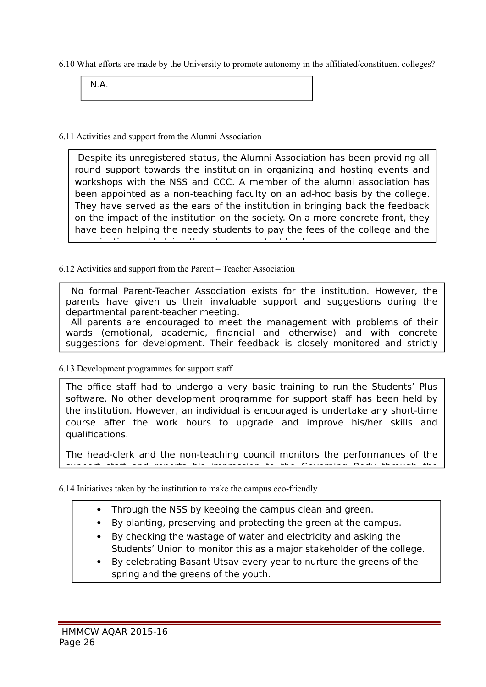6.10 What efforts are made by the University to promote autonomy in the affiliated/constituent colleges?

N.A.

6.11 Activities and support from the Alumni Association

Despite its unregistered status, the Alumni Association has been providing all round support towards the institution in organizing and hosting events and workshops with the NSS and CCC. A member of the alumni association has been appointed as a non-teaching faculty on an ad-hoc basis by the college. They have served as the ears of the institution in bringing back the feedback on the impact of the institution on the society. On a more concrete front, they have been helping the needy students to pay the fees of the college and the examination and helping them to procure text books.

### 6.12 Activities and support from the Parent – Teacher Association

No formal Parent-Teacher Association exists for the institution. However, the parents have given us their invaluable support and suggestions during the departmental parent-teacher meeting.

All parents are encouraged to meet the management with problems of their wards (emotional, academic, financial and otherwise) and with concrete suggestions for development. Their feedback is closely monitored and strictly

#### 6.13 Development programmes for support staff

adhered to.

The office staff had to undergo a very basic training to run the Students' Plus software. No other development programme for support staff has been held by the institution. However, an individual is encouraged is undertake any short-time course after the work hours to upgrade and improve his/her skills and qualifications.

The head-clerk and the non-teaching council monitors the performances of the support staff and reports his impression to the Governing Body through the

6.14 Initiatives taken by the institution to make the campus eco-friendly

- Through the NSS by keeping the campus clean and green.
- By planting, preserving and protecting the green at the campus.
- By checking the wastage of water and electricity and asking the Students' Union to monitor this as a major stakeholder of the college.
- By celebrating Basant Utsav every year to nurture the greens of the spring and the greens of the youth.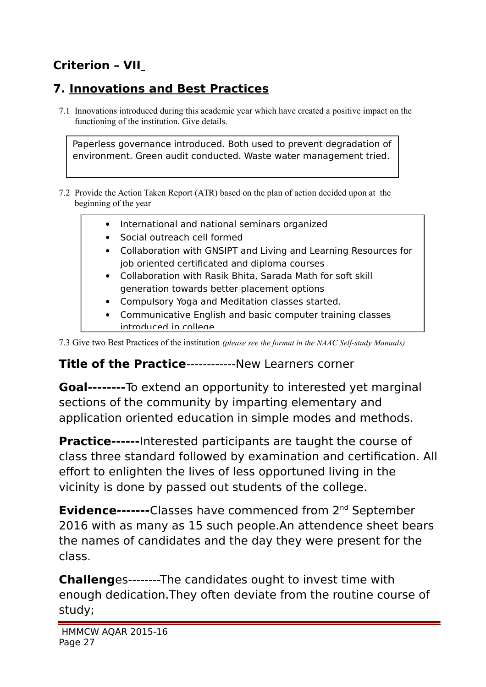# **Criterion – VII**

# **7. Innovations and Best Practices**

7.1 Innovations introduced during this academic year which have created a positive impact on the functioning of the institution. Give details.

Paperless governance introduced. Both used to prevent degradation of environment. Green audit conducted. Waste water management tried.

7.2 Provide the Action Taken Report (ATR) based on the plan of action decided upon at the beginning of the year

- International and national seminars organized
- Social outreach cell formed
- Collaboration with GNSIPT and Living and Learning Resources for job oriented certificated and diploma courses
- Collaboration with Rasik Bhita, Sarada Math for soft skill generation towards better placement options
- Compulsory Yoga and Meditation classes started.
- Communicative English and basic computer training classes introduced in college

7.3 Give two Best Practices of the institution *(please see the format in the NAAC Self-study Manuals)*

### **Title of the Practice**------------New Learners corner

**Goal--------**To extend an opportunity to interested yet marginal sections of the community by imparting elementary and application oriented education in simple modes and methods.

**Practice------**Interested participants are taught the course of class three standard followed by examination and certification. All effort to enlighten the lives of less opportuned living in the vicinity is done by passed out students of the college.

**Evidence-------**Classes have commenced from 2<sup>nd</sup> September 2016 with as many as 15 such people.An attendence sheet bears the names of candidates and the day they were present for the class.

**Challeng**es--------The candidates ought to invest time with enough dedication.They often deviate from the routine course of study;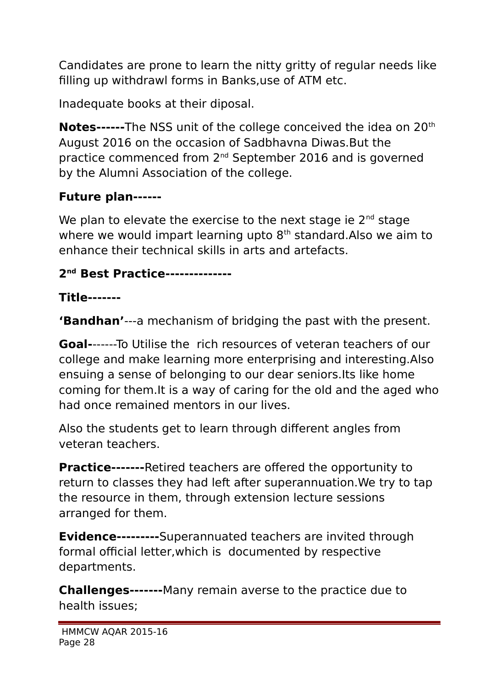Candidates are prone to learn the nitty gritty of regular needs like filling up withdrawl forms in Banks,use of ATM etc.

Inadequate books at their diposal.

**Notes------**The NSS unit of the college conceived the idea on 20<sup>th</sup> August 2016 on the occasion of Sadbhavna Diwas.But the practice commenced from 2<sup>nd</sup> September 2016 and is governed by the Alumni Association of the college.

# **Future plan------**

We plan to elevate the exercise to the next stage ie  $2<sup>nd</sup>$  stage where we would impart learning upto  $8<sup>th</sup>$  standard. Also we aim to enhance their technical skills in arts and artefacts.

# **2 nd Best Practice--------------**

# **Title-------**

**'Bandhan'**---a mechanism of bridging the past with the present.

**Goal-**------To Utilise the rich resources of veteran teachers of our college and make learning more enterprising and interesting.Also ensuing a sense of belonging to our dear seniors.Its like home coming for them.It is a way of caring for the old and the aged who had once remained mentors in our lives.

Also the students get to learn through different angles from veteran teachers.

**Practice--------**Retired teachers are offered the opportunity to return to classes they had left after superannuation.We try to tap the resource in them, through extension lecture sessions arranged for them.

**Evidence---------**Superannuated teachers are invited through formal official letter,which is documented by respective departments.

**Challenges-------**Many remain averse to the practice due to health issues;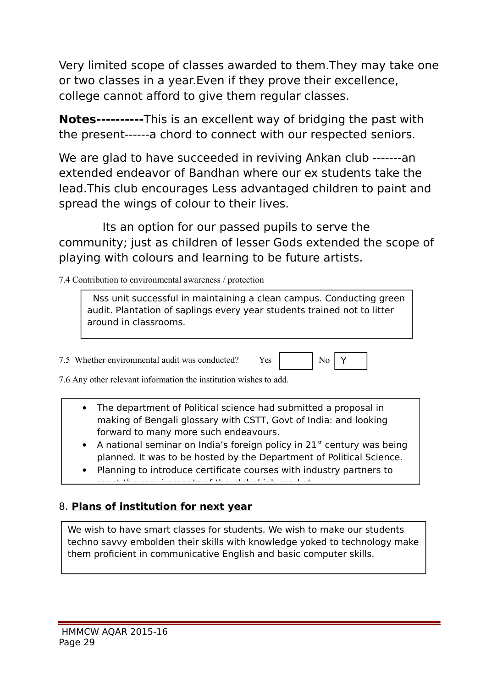Very limited scope of classes awarded to them.They may take one or two classes in a year.Even if they prove their excellence, college cannot afford to give them regular classes.

**Notes----------**This is an excellent way of bridging the past with the present------a chord to connect with our respected seniors.

We are glad to have succeeded in reviving Ankan club -------an extended endeavor of Bandhan where our ex students take the lead.This club encourages Less advantaged children to paint and spread the wings of colour to their lives.

 Its an option for our passed pupils to serve the community; just as children of lesser Gods extended the scope of playing with colours and learning to be future artists.

7.4 Contribution to environmental awareness / protection

 Nss unit successful in maintaining a clean campus. Conducting green audit. Plantation of saplings every year students trained not to litter around in classrooms.

7.5 Whether environmental audit was conducted? Yes No No

Y

7.6 Any other relevant information the institution wishes to add.

- The department of Political science had submitted a proposal in making of Bengali glossary with CSTT, Govt of India: and looking forward to many more such endeavours.
- A national seminar on India's foreign policy in  $21<sup>st</sup>$  century was being planned. It was to be hosted by the Department of Political Science.
- Planning to introduce certificate courses with industry partners to meet the requirements of the global job market.

### 8. **Plans of institution for next year**

We wish to have smart classes for students. We wish to make our students techno savvy embolden their skills with knowledge yoked to technology make them proficient in communicative English and basic computer skills.